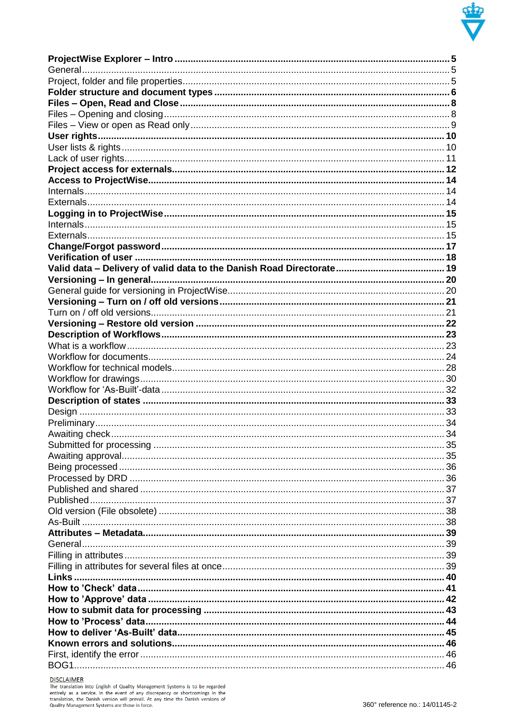

**DISCLAIMER**<br>The translation into English of Quality Management Systems is to be regarded<br>entirely as a service. In the event of any discrepancy or shortcomings in the<br>translation, the Danish version will prevail. At any t